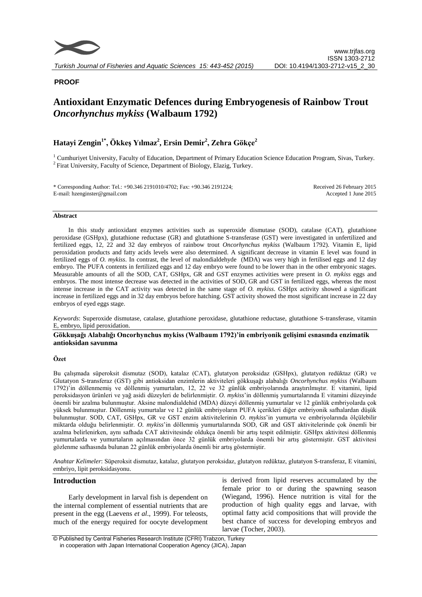

# **PROOF**

# **Antioxidant Enzymatic Defences during Embryogenesis of Rainbow Trout**  *Oncorhynchus mykiss* **(Walbaum 1792)**

# **Hatayi Zengin1\*, Ökkeş Yılmaz<sup>2</sup> , Ersin Demir<sup>2</sup> , Zehra Gökçe<sup>2</sup>**

<sup>1</sup> Cumhuriyet University, Faculty of Education, Department of Primary Education Science Education Program, Sivas, Turkey. <sup>2</sup> Firat University, Faculty of Science, Department of Biology, Elazig, Turkey.

\* Corresponding Author: Tel.: +90.346 2191010/4702; Fax: +90.346 2191224; E-mail: hzenginster@gmail.com

Received 26 February 2015 Accepted 1 June 2015

#### **Abstract**

In this study antioxidant enzymes activities such as superoxide dismutase (SOD), catalase (CAT), glutathione peroxidase (GSHpx), glutathione reductase (GR) and glutathione S-transferase (GST) were investigated in unfertilized and fertilized eggs, 12, 22 and 32 day embryos of rainbow trout *Oncorhynchus mykiss* (Walbaum 1792). Vitamin E, lipid peroxidation products and fatty acids levels were also determined. A significant decrease in vitamin E level was found in fertilized eggs of *O. mykiss*. In contrast, the level of malondialdehyde (MDA) was very high in fertilised eggs and 12 day embryo. The PUFA contents in fertilized eggs and 12 day embryo were found to be lower than in the other embryonic stages. Measurable amounts of all the SOD, CAT, GSHpx, GR and GST enzymes activities were present in *O. mykiss* eggs and embryos. The most intense decrease was detected in the activities of SOD, GR and GST in fertilized eggs, whereas the most intense increase in the CAT activity was detected in the same stage of *O. mykiss*. GSHpx activity showed a significant increase in fertilized eggs and in 32 day embryos before hatching. GST activity showed the most significant increase in 22 day embryos of eyed eggs stage.

*Keywords*: Superoxide dismutase, catalase, glutathione peroxidase, glutathione reductase, glutathione S-transferase, vitamin E, embryo, lipid peroxidation.

#### **Gökkuşağı Alabalığı Oncorhynchus mykiss (Walbaum 1792)'in embriyonik gelişimi esnasında enzimatik antioksidan savunma**

### **Özet**

Bu çalışmada süperoksit dismutaz (SOD), katalaz (CAT), glutatyon peroksidaz (GSHpx), glutatyon redüktaz (GR) ve Glutatyon S-transferaz (GST) gibi antioksidan enzimlerin aktiviteleri gökkuşağı alabalığı *Oncorhynchus mykiss* (Walbaum 1792)'in döllenmemiş ve döllenmiş yumurtaları, 12, 22 ve 32 günlük embriyolarında araştırılmıştır. E vitamini, lipid peroksidasyon ürünleri ve yağ asidi düzeyleri de belirlenmiştir. *O. mykiss*'in döllenmiş yumurtalarında E vitamini düzeyinde önemli bir azalma bulunmuştur. Aksine malondialdehid (MDA) düzeyi döllenmiş yumurtalar ve 12 günlük embriyolarda çok yüksek bulunmuştur. Döllenmiş yumurtalar ve 12 günlük embriyoların PUFA içerikleri diğer embriyonik safhalardan düşük bulunmuştur. SOD, CAT, GSHpx, GR ve GST enzim aktivitelerinin *O. mykiss*'in yumurta ve embriyolarında ölçülebilir miktarda olduğu belirlenmiştir. *O. mykiss*'in döllenmiş yumurtalarında SOD, GR and GST aktivitelerinde çok önemli bir azalma belirlenirken, aynı safhada CAT aktivitesinde oldukça önemli bir artış tespit edilmiştir. GSHpx aktivitesi döllenmiş yumurtalarda ve yumurtaların açılmasından önce 32 günlük embriyolarda önemli bir artış göstermiştir. GST aktivitesi gözlenme safhasında bulunan 22 günlük embriyolarda önemli bir artış göstermiştir.

*Anahtar Kelimeler*: Süperoksit dismutaz, katalaz, glutatyon peroksidaz, glutatyon redüktaz, glutatyon S-transferaz, E vitamini, embriyo, lipit peroksidasyonu.

# **Introduction**

Early development in larval fish is dependent on the internal complement of essential nutrients that are present in the egg (Laevens *et al*., 1999). For teleosts, much of the energy required for oocyte development

is derived from lipid reserves accumulated by the female prior to or during the spawning season (Wiegand, 1996). Hence nutrition is vital for the production of high quality eggs and larvae, with optimal fatty acid compositions that will provide the best chance of success for developing embryos and larvae (Tocher, 2003).

© Published by Central Fisheries Research Institute (CFRI) Trabzon, Turkey in cooperation with Japan International Cooperation Agency (JICA), Japan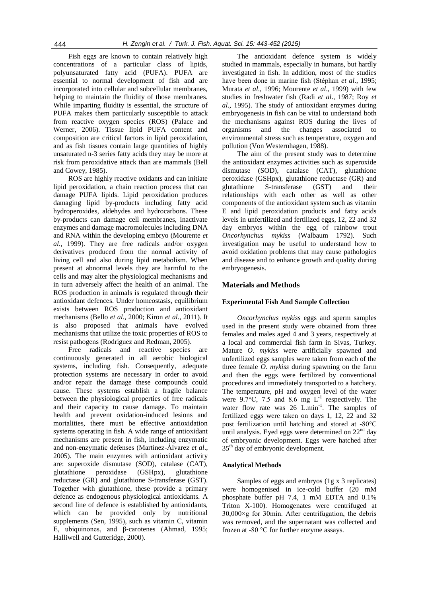Fish eggs are known to contain relatively high concentrations of a particular class of lipids, polyunsaturated fatty acid (PUFA). PUFA are essential to normal development of fish and are incorporated into cellular and subcellular membranes, helping to maintain the fluidity of those membranes. While imparting fluidity is essential, the structure of PUFA makes them particularly susceptible to attack from reactive oxygen species (ROS) (Palace and Werner, 2006). Tissue lipid PUFA content and composition are critical factors in lipid peroxidation, and as fish tissues contain large quantities of highly unsaturated n-3 series fatty acids they may be more at risk from peroxidative attack than are mammals (Bell and Cowey, 1985).

ROS are highly reactive oxidants and can initiate lipid peroxidation, a chain reaction process that can damage PUFA lipids. Lipid peroxidation produces damaging lipid by-products including fatty acid hydroperoxides, aldehydes and hydrocarbons. These by-products can damage cell membranes, inactivate enzymes and damage macromolecules including DNA and RNA within the developing embryo (Mourente *et al*., 1999). They are free radicals and/or oxygen derivatives produced from the normal activity of living cell and also during lipid metabolism. When present at abnormal levels they are harmful to the cells and may alter the physiological mechanisms and in turn adversely affect the health of an animal. The ROS production in animals is regulated through their antioxidant defences. Under homeostasis, equilibrium exists between ROS production and antioxidant mechanisms (Bello *et al*., 2000; Kiron *et al*., 2011). It is also proposed that animals have evolved mechanisms that utilize the toxic properties of ROS to resist pathogens (Rodriguez and Redman, 2005).

Free radicals and reactive species are continuously generated in all aerobic biological systems, including fish. Consequently, adequate protection systems are necessary in order to avoid and/or repair the damage these compounds could cause. These systems establish a fragile balance between the physiological properties of free radicals and their capacity to cause damage. To maintain health and prevent oxidation-induced lesions and mortalities, there must be effective antioxidation systems operating in fish. A wide range of antioxidant mechanisms are present in fish, including enzymatic and non-enzymatic defenses (Martínez-Álvarez *et al*., 2005). The main enzymes with antioxidant activity are: superoxide dismutase (SOD), catalase (CAT), glutathione peroxidase (GSHpx), glutathione reductase (GR) and glutathione S-transferase (GST). Together with glutathione, these provide a primary defence as endogenous physiological antioxidants. A second line of defence is established by antioxidants, which can be provided only by nutritional supplements (Sen, 1995), such as vitamin C, vitamin E, ubiquinones, and β-carotenes (Ahmad, 1995; Halliwell and Gutteridge, 2000).

The antioxidant defence system is widely studied in mammals, especially in humans, but hardly investigated in fish. In addition, most of the studies have been done in marine fish (Stéphan *et al*., 1995; Murata *et al*., 1996; Mourente *et al*., 1999) with few studies in freshwater fish (Radi *et al*., 1987; Roy *et al*., 1995). The study of antioxidant enzymes during embryogenesis in fish can be vital to understand both the mechanisms against ROS during the lives of organisms and the changes associated to environmental stress such as temperature, oxygen and pollution (Von Westernhagen, 1988).

The aim of the present study was to determine the antioxidant enzymes activities such as superoxide dismutase (SOD), catalase (CAT), glutathione peroxidase (GSHpx), glutathione reductase (GR) and glutathione S-transferase (GST) and their relationships with each other as well as other components of the antioxidant system such as vitamin E and lipid peroxidation products and fatty acids levels in unfertilized and fertilized eggs, 12, 22 and 32 day embryos within the egg of rainbow trout *Oncorhynchus mykiss* (Walbaum 1792). Such investigation may be useful to understand how to avoid oxidation problems that may cause pathologies and disease and to enhance growth and quality during embryogenesis.

### **Materials and Methods**

#### **Experimental Fish And Sample Collection**

*Oncorhynchus mykiss* eggs and sperm samples used in the present study were obtained from three females and males aged 4 and 3 years, respectively at a local and commercial fish farm in Sivas, Turkey. Mature *O. mykiss* were artificially spawned and unfertilized eggs samples were taken from each of the three female *O. mykiss* during spawning on the farm and then the eggs were fertilized by conventional procedures and immediately transported to a hatchery. The temperature, pH and oxygen level of the water were  $9.7^{\circ}$ C, 7.5 and 8.6 mg  $L^{-1}$  respectively. The water flow rate was 26 L.min<sup>-1</sup>. The samples of fertilized eggs were taken on days 1, 12, 22 and 32 post fertilization until hatching and stored at -80°C until analysis. Eyed eggs were determined on  $22<sup>nd</sup>$  day of embryonic development. Eggs were hatched after 35<sup>th</sup> day of embryonic development.

#### **Analytical Methods**

Samples of eggs and embryos (1g x 3 replicates) were homogenised in ice-cold buffer (20 mM phosphate buffer pH 7.4, 1 mM EDTA and 0.1% Triton X-100). Homogenates were centrifuged at  $30,000\times g$  for 30min. After centrifugation, the debris was removed, and the supernatant was collected and frozen at -80 °C for further enzyme assays.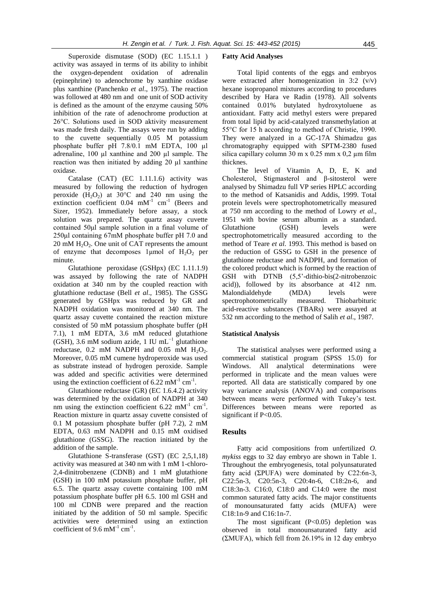Superoxide dismutase (SOD) (EC 1.15.1.1 ) activity was assayed in terms of its ability to inhibit the oxygen-dependent oxidation of adrenalin (epinephrine) to adenochrome by xanthine oxidase plus xanthine (Panchenko *et al*., 1975). The reaction was followed at 480 nm and one unit of SOD activity is defined as the amount of the enzyme causing 50% inhibition of the rate of adenochrome production at 26°C. Solutions used in SOD aktivity measurement was made fresh daily. The assays were run by adding to the cuvette sequentially 0.05 M potassium phosphate buffer pH 7.8/0.1 mM EDTA, 100 µl adrenaline, 100 µl xanthine and 200 µl sample. The reaction was then initiated by adding 20 µl xanthine oxidase.

Catalase (CAT) (EC 1.11.1.6) activity was measured by following the reduction of hydrogen peroxide  $(H_2O_2)$  at 30°C and 240 nm using the extinction coefficient  $0.04$  mM<sup>-1</sup> cm<sup>-1</sup> (Beers and Sizer, 1952). Immediately before assay, a stock solution was prepared. The quartz assay cuvette contained 50μl sample solution in a final volume of 250μl containing 67mM phosphate buffer pH 7.0 and  $20 \text{ mM } H_2O_2$ . One unit of CAT represents the amount of enzyme that decomposes 1 $\mu$ mol of H<sub>2</sub>O<sub>2</sub> per minute.

Glutathione peroxidase (GSHpx) (EC 1.11.1.9) was assayed by following the rate of NADPH oxidation at 340 nm by the coupled reaction with glutathione reductase (Bell *et al*., 1985). The GSSG generated by GSHpx was reduced by GR and NADPH oxidation was monitored at 340 nm. The quartz assay cuvette contained the reaction mixture consisted of 50 mM potassium phosphate buffer (pH 7.1), 1 mM EDTA, 3.6 mM reduced glutathione (GSH), 3.6 mM sodium azide, 1 IU mL−1 glutathione reductase,  $0.2$  mM NADPH and  $0.05$  mM  $H_2O_2$ . Moreover, 0.05 mM cumene hydroperoxide was used as substrate instead of hydrogen peroxide. Sample was added and specific activities were determined using the extinction coefficient of  $6.22 \text{ mM}^{-1} \text{ cm}^{-1}$ .

Glutathione reductase (GR) (EC 1.6.4.2) activity was determined by the oxidation of NADPH at 340 nm using the extinction coefficient  $6.22 \text{ mM}^{-1} \text{ cm}^{-1}$ . Reaction mixture in quartz assay cuvette consisted of 0.1 M potassium phosphate buffer (pH 7.2), 2 mM EDTA, 0.63 mM NADPH and 0.15 mM oxidised glutathione (GSSG). The reaction initiated by the addition of the sample.

Glutathione S-transferase (GST) (EC 2,5,1,18) activity was measured at 340 nm with 1 mM 1-chloro-2,4-dinitrobenzene (CDNB) and 1 mM glutathione (GSH) in 100 mM potassium phosphate buffer, pH 6.5. The quartz assay cuvette containing 100 mM potassium phosphate buffer pH 6.5. 100 ml GSH and 100 ml CDNB were prepared and the reaction initiated by the addition of 50 ml sample. Specific activities were determined using an extinction coefficient of 9.6 mM<sup>-1</sup> cm<sup>-1</sup>.

#### **Fatty Acid Analyses**

Total lipid contents of the eggs and embryos were extracted after homogenization in 3:2 (v/v) hexane isopropanol mixtures according to procedures described by Hara ve Radin (1978). All solvents contained 0.01% butylated hydroxytoluene as antioxidant. Fatty acid methyl esters were prepared from total lipid by acid-catalyzed transmethylation at 55°C for 15 h according to method of Christie, 1990. They were analyzed in a GC-17A Shimadzu gas chromatography equipped with SPTM-2380 fused silica capillary column 30 m x 0.25 mm x 0,2  $\mu$ m film thicknes.

The level of Vitamin A, D, E, K and Cholesterol, Stigmasterol and β-sitosterol were analysed by Shimadzu full VP series HPLC according to the method of Katsanidis and Addis, 1999. Total protein levels were spectrophotometrically measured at 750 nm according to the method of Lowry *et al*., 1951 with bovine serum albumin as a standard. Glutathione (GSH) levels were spectrophotometrically measured according to the method of Teare *et al*. 1993. This method is based on the reduction of GSSG to GSH in the presence of glutathione reductase and NADPH, and formation of the colored product which is formed by the reaction of GSH with DTNB (5,5'-dithio-bis(2-nitrobenzoic acid)), followed by its absorbance at 412 nm. Malondialdehyde (MDA) levels were spectrophotometrically measured. Thiobarbituric acid-reactive substances (TBARs) were assayed at 532 nm according to the method of Salih *et al*., 1987.

#### **Statistical Analysis**

The statistical analyses were performed using a commercial statistical program (SPSS 15.0) for Windows. All analytical determinations were performed in triplicate and the mean values were reported. All data are statistically compared by one way variance analysis (ANOVA) and comparisons between means were performed with Tukey's test. Differences between means were reported as significant if P<0.05.

#### **Results**

Fatty acid compositions from unfertilized *O. mykiss* eggs to 32 day embryo are shown in Table 1. Throughout the embryogenesis, total polyunsaturated fatty acid (ΣPUFA) were dominated by  $C22:6n-3$ , C22:5n-3, C20:5n-3, C20:4n-6, C18:2n-6, and C18:3n-3. C16:0, C18:0 and C14:0 were the most common saturated fatty acids. The major constituents of monounsaturated fatty acids (MUFA) were C18:1n-9 and C16:1n-7.

The most significant (P<0.05) depletion was observed in total monounsaturated fatty acid (ΣMUFA), which fell from 26.19% in 12 day embryo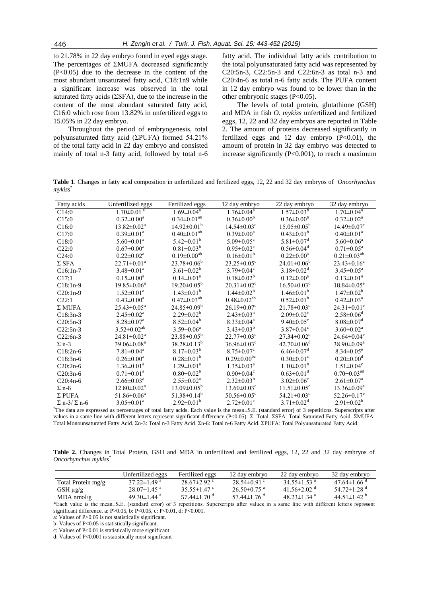to 21.78% in 22 day embryo found in eyed eggs stage. The percentages of ΣMUFA decreased significantly (P<0.05) due to the decrease in the content of the most abundant unsaturated fatty acid, C18:1n9 while a significant increase was observed in the total saturated fatty acids (ΣSFA), due to the increase in the content of the most abundant saturated fatty acid, C16:0 which rose from 13.82% in unfertilized eggs to 15.05% in 22 day embryo.

Throughout the period of embryogenesis, total polyunsaturated fatty acid (ΣPUFA) formed 54.21% of the total fatty acid in 22 day embryo and consisted mainly of total n-3 fatty acid, followed by total n-6

fatty acid. The individual fatty acids contribution to the total polyunsaturated fatty acid was represented by C20:5n-3, C22:5n-3 and C22:6n-3 as total n-3 and C20:4n-6 as total n-6 fatty acids. The PUFA content in 12 day embryo was found to be lower than in the other embryonic stages (P<0.05).

The levels of total protein, glutathione (GSH) and MDA in fish *O. mykiss* unfertilized and fertilized eggs, 12, 22 and 32 day embryos are reported in Table 2. The amount of proteins decreased significantly in fertilized eggs and 12 day embryo  $(P<0.01)$ , the amount of protein in 32 day embryo was detected to increase significantly (P<0.001), to reach a maximum

**Table 1**. Changes in fatty acid composition in unfertilized and fertilized eggs, 12, 22 and 32 day embryos of *Oncorhynchus mykiss*\*

| Fatty acids                           | Unfertilized eggs            | Fertilized eggs               | 12 day embryo                                                                     | 22 day embryo                                                  | 32 day embryo                 |
|---------------------------------------|------------------------------|-------------------------------|-----------------------------------------------------------------------------------|----------------------------------------------------------------|-------------------------------|
| C14:0                                 | $1.70 \pm 0.01$ <sup>a</sup> | $1.69 \pm 0.04^a$             | $1.76 \pm 0.04^a$                                                                 | $1.57 \pm 0.03^b$                                              | $1.70 \pm 0.04$ <sup>a</sup>  |
| C15:0                                 | $0.32 \pm 0.00^a$            | $0.34 \pm 0.01^{ab}$          | $0.36 \pm 0.00^b$                                                                 | $0.36 \pm 0.00^b$                                              | $0.32 \pm 0.02^a$             |
| C16:0                                 | $13.82 \pm 0.02^a$           | $14.92 \pm 0.01^b$            | $14.54 \pm 0.03$ <sup>c</sup>                                                     | $15.05 \pm 0.05^{\rm b}$                                       | $14.49 \pm 0.07$ <sup>c</sup> |
| C17:0                                 | $0.39 \pm 0.01^a$            | $0.40 \pm 0.01^{ab}$          | $0.39 \pm 0.00^a$                                                                 | $0.43 \pm 0.01^b$                                              | $0.40 \pm 0.01$ <sup>a</sup>  |
| C18:0                                 | $5.60 \pm 0.01^a$            | $5.42 \pm 0.01^b$             | 5.09 $\pm$ 0.05 <sup>c</sup>                                                      | $5.81 \pm 0.07$ <sup>d</sup>                                   | $5.60 \pm 0.06^a$             |
| C22:0                                 | $0.67 \pm 0.00^a$            | $0.81 \pm 0.03^b$             | $0.95 \pm 0.02$ <sup>c</sup>                                                      | $0.56 \pm 0.04$ <sup>d</sup>                                   | $0.71 \pm 0.05^{\text{a}}$    |
| C24:0                                 | $0.22 \pm 0.02^a$            | $0.19 \pm 0.00^{ab}$          | $0.16 \pm 0.01^b$                                                                 | $0.22 \pm 0.00^a$                                              | $0.21 \pm 0.03^{ab}$          |
| $\Sigma$ SFA                          | $22.71 \pm 0.01^a$           | $23.78 \pm 0.06^b$            | $23.25 \pm 0.05$ <sup>c</sup>                                                     | $24.01 \pm 0.06^b$                                             | $23.43 \pm 0.16$ <sup>c</sup> |
| $C16:1n-7$                            | $3.48 \pm 0.01^a$            | $3.61 \pm 0.02^b$             | $3.79 \pm 0.04$ <sup>c</sup>                                                      | $3.18 \pm 0.02^d$                                              | $3.45 \pm 0.05^{\text{a}}$    |
| C17:1                                 | $0.15 \pm 0.00^a$            | $0.14 \pm 0.01^a$             | $0.18 \pm 0.02^b$                                                                 | $0.12 \pm 0.00^a$                                              | $0.13 \pm 0.01^a$             |
| $C18:1n-9$                            | $19.85 \pm 0.06^a$           | $19.20 \pm 0.05^{\rm b}$      | $20.31 \pm 0.02$ <sup>c</sup>                                                     | $16.50\pm0.03^{\rm d}$                                         | $18.84 \pm 0.05$ <sup>e</sup> |
| $C20:1n-9$                            | $1.52 \pm 0.01^a$            | $1.43 \pm 0.01^b$             | $1.44 \pm 0.02^b$                                                                 | $1.46 \pm 0.01^{\rm b}$                                        | $1.47 \pm 0.02^b$             |
| C22:1                                 | $0.43 \pm 0.00^a$            | $0.47 \pm 0.03^{ab}$          | $0.48 \pm 0.02$ <sup>ab</sup>                                                     | $0.52 \pm 0.01^b$                                              | $0.42 \pm 0.03^a$             |
| $\Sigma$ MUFA                         | $25.43\pm0.05^{\text{a}}$    | $24.85\pm0.09^b$              | $26.19 \pm 0.07$ <sup>c</sup>                                                     | $21.78 \pm 0.03$ <sup>d</sup>                                  | $24.31 \pm 0.01^e$            |
| $C18:3n-3$                            | $2.45 \pm 0.02^{\text{a}}$   | $2.29 \pm 0.02^b$             | $2.43 \pm 0.03^{\text{a}}$                                                        | $2.09 \pm 0.02$ <sup>c</sup>                                   | $2.58 \pm 0.06$ <sup>d</sup>  |
| $C20:5n-3$                            | $8.28 \pm 0.07$ <sup>a</sup> | $8.52 \pm 0.04^b$             | $8.33 \pm 0.04^a$                                                                 | $9.40 \pm 0.05$ <sup>c</sup>                                   | $8.08 \pm 0.07$ <sup>d</sup>  |
| $C22:5n-3$                            | $3.52 \pm 0.02^{ab}$         | $3.59 \pm 0.06^a$             | $3.43 \pm 0.03^b$                                                                 | $3.87 \pm 0.04$ <sup>c</sup>                                   | $3.60 \pm 0.02^{\text{a}}$    |
| $C22:6n-3$                            | $24.81 \pm 0.02^{\text{a}}$  | $23.88 \pm 0.05^b$            | $22.77 \pm 0.03$ <sup>c</sup>                                                     | $27.34 \pm 0.02^{\text{d}}$                                    | $24.64 \pm 0.04$ <sup>e</sup> |
| $\Sigma$ n-3                          | 39.06±0.08 <sup>a</sup>      | $38.28 \pm 0.13^b$            | $36.96 \pm 0.03$ <sup>c</sup>                                                     | $42.70 \pm 0.06$ <sup>d</sup>                                  | $38.90 \pm 0.09^a$            |
| $C18:2n-6$                            | $7.81 \pm 0.04$ <sup>a</sup> | $8.17 \pm 0.03^b$             | $8.75 \pm 0.07$ <sup>c</sup>                                                      | $6.46 \pm 0.07$ <sup>d</sup>                                   | $8.34 \pm 0.05^e$             |
| $C18:3n-6$                            | $0.26 \pm 0.00^a$            | $0.28 \pm 0.01^b$             | $0.29 \pm 0.00^{\rm bc}$                                                          | $0.30 \pm 0.01$ <sup>c</sup>                                   | $0.20 \pm 0.00$ <sup>d</sup>  |
| $C20:2n-6$                            | $1.36 \pm 0.01^a$            | $1.29 \pm 0.01^a$             | $1.35 \pm 0.03^{\text{a}}$                                                        | $1.10\pm0.01^{\rm b}$                                          | $1.51 \pm 0.04$ <sup>c</sup>  |
| $C20:3n-6$                            | $0.71 \pm 0.01^a$            | $0.80 \pm 0.02^b$             | $0.90 \pm 0.04$ <sup>c</sup>                                                      | $0.63 \pm 0.01$ <sup>d</sup>                                   | $0.70 \pm 0.03$ <sup>ad</sup> |
| $C20:4n-6$                            | $2.66 \pm 0.03^{\text{a}}$   | $2.55 \pm 0.02^a$             | $2.32\pm0.03^{b}$                                                                 | $3.02 \pm 0.06$ <sup>c</sup>                                   | $2.61 \pm 0.07$ <sup>a</sup>  |
| $\Sigma$ n-6                          | $12.80 \pm 0.02^{\text{a}}$  | $13.09 \pm 0.05^b$            | $13.60 \pm 0.03$ <sup>c</sup>                                                     | $11.51 \pm 0.05^{\text{d}}$                                    | $13.36 \pm 0.09^e$            |
| $\Sigma$ PUFA                         | $51.86 \pm 0.06^a$           | $51.38 \pm 0.14^b$            | $50.56 \pm 0.05$ <sup>c</sup>                                                     | $54.21 \pm 0.03$ <sup>d</sup>                                  | $52.26 \pm 0.17$ <sup>e</sup> |
| $\Sigma$ n-3/ $\Sigma$ n-6<br>"лля 1. | $3.05 \pm 0.01^a$            | $2.92 \pm 0.01^b$<br>$\cdots$ | $2.72 \pm 0.01$ <sup>c</sup><br>$\alpha$ $\alpha$ $\beta$<br>$\sim$ $\sim$ $\sim$ | $3.71 \pm 0.02^d$<br>$\sim$ $\sim$ $\sim$<br>$1 \quad 1 \quad$ | $2.91 \pm 0.02^b$             |

\*The data are expressed as percentages of total fatty acids. Each value is the mean*±*S.E. (standard error) of 3 repetitions. Superscripts after values in a same line with different letters represent significant difference (P<0.05). Σ: Total. ΣSFA: Total Saturated Fatty Acid. ΣΜUFA: Total Monounsaturated Fatty Acid. Σn-3: Total n-3 Fatty Acid. Σn-6: Total n-6 Fatty Acid. ΣPUFA: Total Polyunsaturated Fatty Acid.

**Table 2.** Changes in Total Protein, GSH and MDA in unfertilized and fertilized eggs, 12, 22 and 32 day embryos of *Oncorhynchus mykiss*\*

|                    | Unfertilized eggs             | Fertilized eggs             | 12 day embryo               | 22 day embryo                              | 32 day embryo                 |
|--------------------|-------------------------------|-----------------------------|-----------------------------|--------------------------------------------|-------------------------------|
| Total Protein mg/g | $37.22 \pm 1.49$ <sup>a</sup> | $28.67 \pm 2.92$            | $28.54\pm0.91$ °            | 34.55 $\pm$ 1.53 <sup>a</sup>              | $47.64 \pm 1.66$ <sup>d</sup> |
| GSH µg/g           | $28.07 \pm 1.45$ <sup>a</sup> | 35.55 $\pm$ 1.47 $\degree$  | $26.50\pm0.75$ <sup>a</sup> | 41 56 $\pm$ 2 02 <sup><math>a</math></sup> | 54.72 $\pm$ 1.28 <sup>d</sup> |
| $MDA$ nmol/g       | 49.30 $\pm$ 1.44 <sup>a</sup> | 57.44 $\pm$ 1.70 $^{\circ}$ | 57.44 $\pm$ 1.76 $a$        | 48 $23 \pm 1$ 34 <sup>a</sup>              | 44 51 ± 142 <sup>b</sup>      |

\*Each value is the mean±S.E. (standard error) of 3 repetitions. Superscripts after values in a same line with different letters represent significant difference. a: P>0.05, b: P<0.05, c: P<0.01, d: P<0.001.

a: Values of P>0.05 is not statistically significant.

b: Values of P<0.05 is statistically significant.

c: Values of P<0.01 is statistically more significant

d: Values of P<0.001 is statistically most significant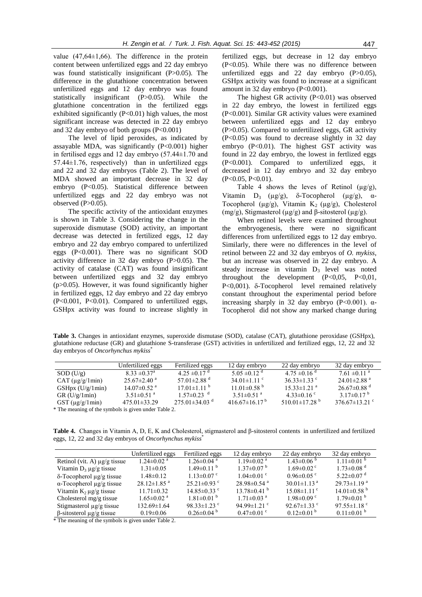value  $(47,64\pm1,66)$ . The difference in the protein content between unfertilized eggs and 22 day embryo was found statistically insignificant (P>0.05). The difference in the glutathione concentration between unfertilized eggs and 12 day embryo was found statistically insignificant (P>0.05). While the glutathione concentration in the fertilized eggs exhibited significantly  $(P<0.01)$  high values, the most significant increase was detected in 22 day embryo and 32 day embryo of both groups  $(P<0.001)$ 

The level of lipid peroxides, as indicated by assayable MDA, was significantly (P<0.001) higher in fertilised eggs and 12 day embryo (57.44±1.70 and 57.44±1.76, respectively) than in unfertilized eggs and 22 and 32 day embryos (Table 2). The level of MDA showed an important decrease in 32 day embryo (P<0.05). Statistical difference between unfertilized eggs and 22 day embryo was not observed  $(P>0.05)$ .

The specific activity of the antioxidant enzymes is shown in Table 3. Considering the change in the superoxide dismutase (SOD) activity, an important decrease was detected in fertilized eggs, 12 day embryo and 22 day embryo compared to unfertilized eggs (P<0.001). There was no significant SOD activity difference in 32 day embryo  $(P>0.05)$ . The activity of catalase (CAT) was found insignificant between unfertilized eggs and 32 day embryo  $(p>0.05)$ . However, it was found significantly higher in fertilized eggs, 12 day embryo and 22 day embryo (P<0.001, P<0.01). Compared to unfertilized eggs, GSHpx activity was found to increase slightly in fertilized eggs, but decrease in 12 day embryo (P<0.05). While there was no difference between unfertilized eggs and 22 day embryo (P>0.05), GSHpx activity was found to increase at a significant amount in 32 day embryo (P<0.001).

The highest GR activity  $(P<0.01)$  was observed in 22 day embryo, the lowest in fertilized eggs (P<0.001). Similar GR activity values were examined between unfertilized eggs and 12 day embryo (P>0.05). Compared to unfertilized eggs, GR activity (P<0.05) was found to decrease slightly in 32 day embryo (P<0.01). The highest GST activity was found in 22 day embryo, the lowest in fertlized eggs (P<0.001). Compared to unfertilized eggs, it decreased in 12 day embryo and 32 day embryo (P<0.05, P<0.01).

Table 4 shows the leves of Retinol  $(\mu g/g)$ , Vitamin  $D_3$  ( $\mu$ g/g),  $\delta$ -Tocopherol ( $\mu$ g/g),  $\alpha$ -Tocopherol ( $\mu$ g/g), Vitamin K<sub>2</sub> ( $\mu$ g/g), Cholesterol (mg/g), Stigmasterol (µg/g) and β-sitosterol (µg/g).

When retinol levels were examined throughout the embryogenesis, there were no significant differences from unfertilized eggs to 12 day embryo. Similarly, there were no differences in the level of retinol between 22 and 32 day embryos of *O. mykiss*, but an increase was observed in 22 day embryo. A steady increase in vitamin  $D_3$  level was noted throughout the development  $(P<0.05, P<0.01,$  $P<0,001$ ).  $\delta$ -Tocopherol level remained relatively constant throughout the experimental period before increasing sharply in 32 day embryo  $(P<0.001)$ .  $\alpha$ -Tocopherol did not show any marked change during

**Table 3.** Changes in antioxidant enzymes, superoxide dismutase (SOD), catalase (CAT), glutathione peroxidase (GSHpx), glutathione reductase (GR) and glutathione S-transferase (GST) activities in unfertilized and fertilized eggs, 12, 22 and 32 day embryos of *Oncorhynchus mykiss*\*

|                                                         | Unfertilized eggs             | Fertilized eggs               | 12 day embryo                   | 22 day embryo                   | 32 day embryo                 |  |
|---------------------------------------------------------|-------------------------------|-------------------------------|---------------------------------|---------------------------------|-------------------------------|--|
| SOD (U/g)                                               | $8.33 \pm 0.37$ <sup>a</sup>  | $4.25 \pm 0.17$ <sup>d</sup>  | $5.05 \pm 0.12$ <sup>d</sup>    | $4.75 \pm 0.16$ <sup>d</sup>    | $7.61 \pm 0.11$ <sup>a</sup>  |  |
| $CAT (\mu g/g/1min)$                                    | $25.67 \pm 2.40$ <sup>a</sup> | 57.01 $\pm$ 2.88 <sup>d</sup> | $34.01 \pm 1.11$ °              | $36.33 \pm 1.33$ °              | $24.01 \pm 2.88$ <sup>a</sup> |  |
| $GSHpx$ (U/g/1min)                                      | $14.07\pm0.52$ <sup>a</sup>   | $17.01 \pm 1.11$ <sup>b</sup> | $11.01\pm0.58$ <sup>b</sup>     | $15.33 \pm 1.21$ <sup>a</sup>   | $26.67\pm0.88$ <sup>d</sup>   |  |
| GR(U/g/1min)                                            | $3.51 \pm 0.51$ <sup>a</sup>  | $1.57\pm0.23$ <sup>d</sup>    | $3.51 \pm 0.51$ <sup>a</sup>    | $4.33\pm0.16$ °                 | $3.17\pm0.17^{b}$             |  |
| $\text{GST}$ (µg/g/1min)                                | $475.01 \pm 33.29$            | $275.01\pm34.03$ <sup>d</sup> | 416 67 $\pm$ 16 17 <sup>b</sup> | 510.01 $\pm$ 17.28 <sup>b</sup> | $376.67\pm13.21$ °            |  |
| $*$ The meaning of the symbols is given under Table $2$ |                               |                               |                                 |                                 |                               |  |

The meaning of the symbols is given under Table 2.

**Table 4.** Changes in Vitamin A, D, E, K and Cholesterol, stigmasterol and β-sitosterol contents in unfertilized and fertilized eggs, 12, 22 and 32 day embryos of *Oncorhynchus mykiss*\*

|                                       | Unfertilized eggs             | Fertilized eggs              | 12 day embryo                | 22 day embryo                 | 32 day embryo                 |
|---------------------------------------|-------------------------------|------------------------------|------------------------------|-------------------------------|-------------------------------|
| Retinol (vit. A) $\mu$ g/g tissue     | $1.24 \pm 0.02$ <sup>a</sup>  | $1.26 \pm 0.04$ <sup>a</sup> | $1.19 \pm 0.02$ <sup>a</sup> | $1.43\pm0.06^{b}$             | $1.11 \pm 0.01$ <sup>b</sup>  |
| Vitamin $D_3 \mu g/g$ tissue          | $1.31 \pm 0.05$               | $1.49\pm0.11^{b}$            | $1.37\pm0.07^{b}$            | $1.69 \pm 0.02$ <sup>c</sup>  | $1.73 \pm 0.08$ <sup>d</sup>  |
| $\delta$ -Tocopherol $\mu$ g/g tissue | $1.48 \pm 0.12$               | $1.13 \pm 0.07$ °            | $1.04 \pm 0.01$ °            | $0.96\pm0.05$ c               | $5.22 \pm 0.07$ d             |
| $\alpha$ -Tocopherol $\mu$ g/g tissue | $28.12 \pm 1.85$ <sup>a</sup> | $25.21 \pm 0.93$ °           | $28.98\pm0.54$ <sup>a</sup>  | $30.01 \pm 1.13$ <sup>a</sup> | $29.73 \pm 1.19$ <sup>a</sup> |
| Vitamin $K_2 \mu g/g$ tissue          | $11.71 \pm 0.32$              | $14.85\pm0.33$ °             | $13.78\pm0.41$ <sup>b</sup>  | $15.08 \pm 1.11$ <sup>c</sup> | $14.01\pm0.58$ <sup>b</sup>   |
| Cholesterol $mg/g$ tissue             | $1.65 \pm 0.02$ <sup>a</sup>  | $1.81 \pm 0.01$ <sup>b</sup> | $1.71 \pm 0.03$ <sup>a</sup> | $1.98 \pm 0.09$ c             | $1.79 \pm 0.01$ b             |
| Stigmasterol $\mu$ g/g tissue         | $132.69 \pm 1.64$             | 98.33 $\pm$ 1.23 °           | 94.99 $\pm$ 1.21 $\degree$   | 92.67 $\pm$ 1.33 °            | 97.55 $\pm$ 1.18 <sup>c</sup> |
| $\beta$ -sitosterol $\mu$ g/g tissue  | $0.19 \pm 0.06$               | $0.26 \pm 0.04$ b            | $0.47 \pm 0.01$ °            | $0.12\pm0.01^{b}$             | $0.11\pm0.01^{b}$             |

\* The meaning of the symbols is given under Table 2.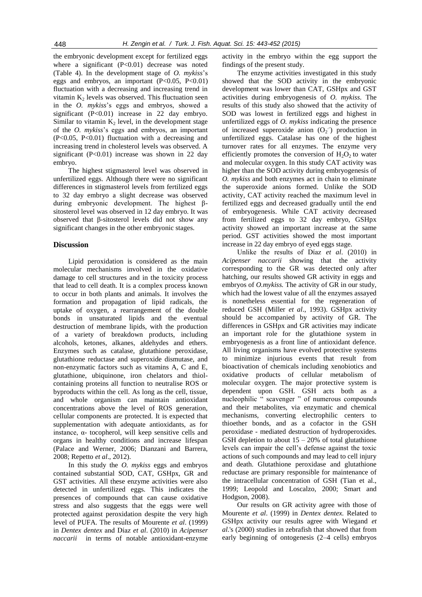the embryonic development except for fertilized eggs where a significant  $(P<0.01)$  decrease was noted (Table 4). In the development stage of *O. mykiss*'s eggs and embryos, an important  $(P<0.05, P<0.01)$ fluctuation with a decreasing and increasing trend in vitamin  $K<sub>2</sub>$  levels was observed. This fluctuation seen in the *O. mykiss*'s eggs and embryos, showed a significant  $(P<0.01)$  increase in 22 day embryo. Similar to vitamin  $K<sub>2</sub>$  level, in the development stage of the *O. mykiss*'s eggs and embryos, an important (P<0.05, P<0.01) fluctuation with a decreasing and increasing trend in cholesterol levels was observed. A significant  $(P<0.01)$  increase was shown in 22 day embryo.

The highest stigmasterol level was observed in unfertilized eggs. Although there were no significant differences in stigmasterol levels from fertilized eggs to 32 day embryo a slight decrease was observed during embryonic development. The highest βsitosterol level was observed in 12 day embryo. It was observed that β-sitosterol levels did not show any significant changes in the other embryonic stages.

## **Discussion**

Lipid peroxidation is considered as the main molecular mechanisms involved in the oxidative damage to cell structures and in the toxicity process that lead to cell death. It is a complex process known to occur in both plants and animals. It involves the formation and propagation of lipid radicals, the uptake of oxygen, a rearrangement of the double bonds in unsaturated lipids and the eventual destruction of membrane lipids, with the production of a variety of breakdown products, including alcohols, ketones, alkanes, aldehydes and ethers. Enzymes such as catalase, glutathione peroxidase, glutathione reductase and superoxide dismutase, and non-enzymatic factors such as vitamins A, C and E, glutathione, ubiquinone, iron chelators and thiolcontaining proteins all function to neutralise ROS or byproducts within the cell. As long as the cell, tissue, and whole organism can maintain antioxidant concentrations above the level of ROS generation, cellular components are protected. It is expected that supplementation with adequate antioxidants, as for instance,  $\alpha$ - tocopherol, will keep sensitive cells and organs in healthy conditions and increase lifespan (Palace and Werner, 2006; Dianzani and Barrera, 2008; Repetto *et al*., 2012).

In this study the *O. mykiss* eggs and embryos contained substantial SOD, CAT, GSHpx, GR and GST activities. All these enzyme activities were also detected in unfertilized eggs. This indicates the presences of compounds that can cause oxidative stress and also suggests that the eggs were well protected against peroxidation despite the very high level of PUFA. The results of Mourente *et al*. (1999) in *Dentex dentex* and Díaz *et al*. (2010) in *Acipenser naccarii* in terms of notable antioxidant-enzyme activity in the embryo within the egg support the findings of the present study.

The enzyme activities investigated in this study showed that the SOD activity in the embryonic development was lower than CAT, GSHpx and GST activities during embryogenesis of *O. mykiss*. The results of this study also showed that the activity of SOD was lowest in fertilized eggs and highest in unfertilized eggs of *O. mykiss* indicating the presence of increased superoxide anion  $(O_2$ ) production in unfertilized eggs. Catalase has one of the highest turnover rates for all enzymes. The enzyme very efficiently promotes the conversion of  $H_2O_2$  to water and molecular oxygen. In this study CAT activity was higher than the SOD activity during embryogenesis of *O. mykiss* and both enzymes act in chain to eliminate the superoxide anions formed. Unlike the SOD activity, CAT activity reached the maximum level in fertilized eggs and decreased gradually until the end of embryogenesis. While CAT activity decreased from fertilized eggs to 32 day embryo, GSHpx activity showed an important increase at the same period. GST activities showed the most important increase in 22 day embryo of eyed eggs stage.

Unlike the results of Díaz *et al*. (2010) in *Acipenser naccarii* showing that the activity corresponding to the GR was detected only after hatching, our results showed GR activity in eggs and embryos of *O.mykiss.* The activity of GR in our study, which had the lowest value of all the enzymes assayed is nonetheless essential for the regeneration of reduced GSH (Miller *et al*., 1993). GSHpx activity should be accompanied by activity of GR. The differences in GSHpx and GR activities may indicate an important role for the glutathione system in embryogenesis as a front line of antioxidant defence. All living organisms have evolved protective systems to minimize injurious events that result from bioactivation of chemicals including xenobiotics and oxidative products of cellular metabolism of molecular oxygen. The major protective system is dependent upon GSH. GSH acts both as a nucleophilic " scavenger " of numerous compounds and their metabolites, via enzymatic and chemical mechanisms, converting electrophilic centers to thioether bonds, and as a cofactor in the GSH peroxidase - mediated destruction of hydroperoxides. GSH depletion to about  $15 - 20%$  of total glutathione levels can impair the cell's defense against the toxic actions of such compounds and may lead to cell injury and death. Glutathione peroxidase and glutathione reductase are primary responsible for maintenance of the intracellular concentration of GSH (Tian et al., 1999; Leopold and Loscalzo, 2000; Smart and Hodgson, 2008).

Our results on GR activity agree with those of Mourente *et al*. (1999) in *Dentex dentex.* Related to GSHpx activity our results agree with Wiegand *et al*.'s (2000) studies in zebrafish that showed that from early beginning of ontogenesis (2–4 cells) embryos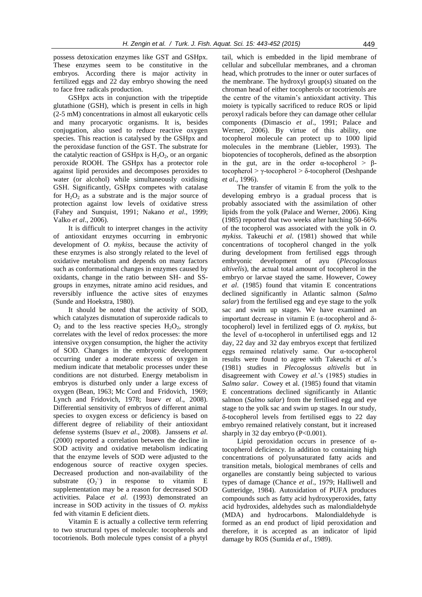possess detoxication enzymes like GST and GSHpx. These enzymes seem to be constitutive in the embryos. According there is major activity in fertilized eggs and 22 day embryo showing the need to face free radicals production.

GSHpx acts in conjunction with the tripeptide glutathione (GSH), which is present in cells in high (2-5 mM) concentrations in almost all eukaryotic cells and many procaryotic organisms. It is, besides conjugation, also used to reduce reactive oxygen species. This reaction is catalysed by the GSHpx and the peroxidase function of the GST. The substrate for the catalytic reaction of GSHpx is  $H_2O_2$ , or an organic peroxide ROOH. The GSHpx has a protector role against lipid peroxides and decomposes peroxides to water (or alcohol) while simultaneously oxidising GSH. Significantly, GSHpx competes with catalase for  $H_2O_2$  as a substrate and is the major source of protection against low levels of oxidative stress (Fahey and Sunquist, 1991; Nakano *et al*., 1999; Valko *et al*., 2006).

It is difficult to interpret changes in the activity of antioxidant enzymes occurring in embryonic development of *O. mykiss*, because the activity of these enzymes is also strongly related to the level of oxidative metabolism and depends on many factors such as conformational changes in enzymes caused by oxidants, change in the ratio between SH- and SSgroups in enzymes, nitrate amino acid residues, and reversibly influence the active sites of enzymes (Sunde and Hoekstra, 1980).

It should be noted that the activity of SOD, which catalyzes dismutation of superoxide radicals to  $O<sub>2</sub>$  and to the less reactive species  $H<sub>2</sub>O<sub>2</sub>$ , strongly correlates with the level of redox processes: the more intensive oxygen consumption, the higher the activity of SOD. Changes in the embryonic development occurring under a moderate excess of oxygen in medium indicate that metabolic processes under these conditions are not disturbed. Energy metabolism in embryos is disturbed only under a large excess of oxygen (Bean, 1963; Mc Cord and Fridovich, 1969; Lynch and Fridovich, 1978; Isuev *et al*., 2008). Differential sensitivity of embryos of different animal species to oxygen excess or deficiency is based on different degree of reliability of their antioxidant defense systems (Isuev *et al*., 2008). Janssens *et al*. (2000) reported a correlation between the decline in SOD activity and oxidative metabolism indicating that the enzyme levels of SOD were adjusted to the endogenous source of reactive oxygen species. Decreased production and non-availability of the substrate  $(O_2$ <sup>+</sup>) in response to vitamin E supplementation may be a reason for decreased SOD activities. Palace *et al*. (1993) demonstrated an increase in SOD activity in the tissues of *O. mykiss* fed with vitamin E deficient diets.

Vitamin E is actually a collective term referring to two structural types of molecule: tocopherols and tocotrienols. Both molecule types consist of a phytyl

tail, which is embedded in the lipid membrane of cellular and subcellular membranes, and a chroman head, which protrudes to the inner or outer surfaces of the membrane. The hydroxyl group(s) situated on the chroman head of either tocopherols or tocotrienols are the centre of the vitamin's antioxidant activity. This moiety is typically sacrificed to reduce ROS or lipid peroxyl radicals before they can damage other cellular components (Dimascio *et al*., 1991; Palace and Werner, 2006). By virtue of this ability, one tocopherol molecule can protect up to 1000 lipid molecules in the membrane (Liebler, 1993). The biopotencies of tocopherols, defined as the absorption in the gut, are in the order  $\alpha$ -tocopherol > βtocopherol > γ-tocopherol > δ-tocopherol (Deshpande *et al*., 1996).

The transfer of vitamin E from the yolk to the developing embryo is a gradual process that is probably associated with the assimilation of other lipids from the yolk (Palace and Werner, 2006). King (1985) reported that two weeks after hatching 50-66% of the tocopherol was associated with the yolk in *O. mykiss*. Takeuchi *et al*. (1981) showed that while concentrations of tocopherol changed in the yolk during development from fertilised eggs through embryonic development of ayu (*Plecoglossus altivelis*), the actual total amount of tocopherol in the embryo or larvae stayed the same. However, Cowey *et al*. (1985) found that vitamin E concentrations declined significantly in Atlantic salmon (*Salmo salar*) from the fertilised egg and eye stage to the yolk sac and swim up stages. We have examined an important decrease in vitamin E ( $α$ -tocopherol and  $δ$ tocopherol) level in fertilized eggs of *O. mykiss*, but the level of α-tocopherol in unfertilised eggs and 12 day, 22 day and 32 day embryos except that fertilized eggs remained relatively same. Our α-tocopherol results were found to agree with Takeuchi *et al*.'s (1981) studies in *Plecoglossus altivelis* but in disagreement with Cowey *et al*.'s (1985) studies in *Salmo salar*. Cowey et al. (1985) found that vitamin E concentrations declined significantly in Atlantic salmon (*Salmo salar*) from the fertilised egg and eye stage to the yolk sac and swim up stages. In our study, -tocopherol levels from fertilised eggs to 22 day embryo remained relatively constant, but it increased sharply in 32 day embryo  $(P<0.001)$ .

Lipid peroxidation occurs in presence of αtocopherol deficiency. In addition to containing high concentrations of polyunsaturated fatty acids and transition metals, biological membranes of cells and organelles are constantly being subjected to various types of damage (Chance *et al*., 1979; Halliwell and Gutteridge, 1984). Autoxidation of PUFA produces compounds such as fatty acid hydroxyperoxides, fatty acid hydroxides, aldehydes such as malondialdehyde (MDA) and hydrocarbons. Malondialdehyde is formed as an end product of lipid peroxidation and therefore, it is accepted as an indicator of lipid damage by ROS (Sumida *et al*., 1989).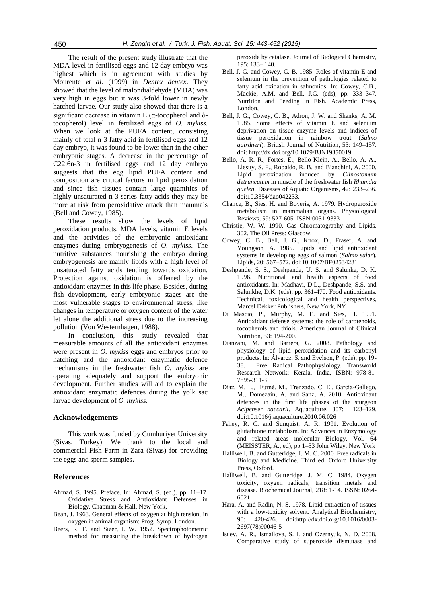The result of the present study illustrate that the MDA level in fertilised eggs and 12 day embryo was highest which is in agreement with studies by Mourente *et al*. (1999) in *Dentex dentex*. They showed that the level of malondialdehyde (MDA) was very high in eggs but it was 3-fold lower in newly hatched larvae. Our study also showed that there is a significant decrease in vitamin E ( $\alpha$ -tocopherol and  $\delta$ tocopherol) level in fertilized eggs of *O. mykiss*. When we look at the PUFA content, consisting mainly of total n-3 fatty acid in fertilised eggs and 12 day embryo, it was found to be lower than in the other embryonic stages. A decrease in the percentage of C22:6n-3 in fertilised eggs and 12 day embryo suggests that the egg lipid PUFA content and composition are critical factors in lipid peroxidation and since fish tissues contain large quantities of highly unsaturated n-3 series fatty acids they may be more at risk from peroxidative attack than mammals (Bell and Cowey, 1985).

These results show the levels of lipid peroxidation products, MDA levels, vitamin E levels and the activities of the embryonic antioxidant enzymes during embryogenesis of *O. mykiss*. The nutritive substances nourishing the embryo during embryogenesis are mainly lipids with a high level of unsaturated fatty acids tending towards oxidation. Protection against oxidation is offerred by the antioxidant enzymes in this life phase. Besides, during fish devolopment, early embryonic stages are the most vulnerable stages to environmental stress, like changes in temperature or oxygen content of the water let alone the additional stress due to the increasing pollution (Von Westernhagen, 1988).

In conclusion, this study revealed that measurable amounts of all the antioxidant enzymes were present in *O. mykiss* eggs and embryos prior to hatching and the antioxidant enzymatic defence mechanisms in the freshwater fish *O. mykiss* are operating adequately and support the embryonic development. Further studies will aid to explain the antioxidant enzymatic defences during the yolk sac larvae development of *O. mykiss*.

#### **Acknowledgements**

This work was funded by Cumhuriyet University (Sivas, Turkey). We thank to the local and commercial Fish Farm in Zara (Sivas) for providing the eggs and sperm samples.

#### **References**

- Ahmad, S. 1995. Preface. In: Ahmad, S. (ed.). pp. 11–17. Oxidative Stress and Antioxidant Defenses in Biology. Chapman & Hall, New York,
- Bean, J. 1963. General effects of oxygen at high tension, in oxygen in animal organism: Prog. Symp. London.
- Beers, R. F. and Sizer, I. W. 1952. Spectrophotometric method for measuring the breakdown of hydrogen

peroxide by catalase. Journal of Biological Chemistry, 195: 133– 140.

- Bell, J. G. and Cowey, C. B. 1985. Roles of vitamin E and selenium in the prevention of pathologies related to fatty acid oxidation in salmonids. In: Cowey, C.B., Mackie, A.M. and Bell, J.G. (eds), pp. 333–347. Nutrition and Feeding in Fish. Academic Press, London,
- Bell, J. G., Cowey, C. B., Adron, J. W. and Shanks, A. M. 1985. Some effects of vitamin E and selenium deprivation on tissue enzyme levels and indices of tissue peroxidation in rainbow trout (*Salmo gairdneri*). British Journal of Nutrition, 53: 149–157. doi: http://dx.doi.org/10.1079/BJN19850019
- Bello, A. R. R., Fortes, E., Bello-Klein, A., Bello, A. A., Llesuy, S. F., Robaldo, R. B. and Bianchini, A. 2000. Lipid peroxidation induced by *Clinostomum detruncatum* in muscle of the freshwater fish *Rhamdia quelen*. [Diseases of](https://www.google.com.tr/url?sa=t&rct=j&q=&esrc=s&source=web&cd=2&cad=rja&uact=8&ved=0CCIQFjAB&url=http%3A%2F%2Fwww.researchgate.net%2Fjournal%2F0177-5103_Diseases_of_Aquatic_Organisms&ei=fzTrU-DxPMKhyAOukoFA&usg=AFQjCNFN4gc0RJWM6Rk-ggf9JmDzPcz4Zw) Aquatic Organisms, 42: 233–236. doi:10.3354/dao042233.
- Chance, B., Sies, H. and Boveris, A. 1979. Hydroperoxide metabolism in mammalian organs. Physiological Reviews, 59: 527-605. ISSN:0031-9333
- Christie, W. W. 1990. Gas Chromatography and Lipids. 302. The Oil Press: Glascow.
- Cowey, C. B., Bell, J. G., Knox, D., Fraser, A. and Youngson, A. 1985. Lipids and lipid antioxidant systems in developing eggs of salmon (*Salmo salar*). Lipids, 20: 567–572. doi:10.1007/BF02534281
- Deshpande, S. S., Deshpande, U. S. and Salunke, D. K. 1996. Nutritional and health aspects of food antioxidants. In: Madhavi, D.L., Deshpande, S.S. and Salunkhe, D.K. (eds), pp. 361-470. Food antioxidants. Technical, toxicological and health perspectives, Marcel Dekker Publishers, New York, NY
- Di Mascio, P., Murphy, M. E. and Sies, H. 1991. Antioxidant defense systems: the role of carotenoids, tocopherols and thiols. American Journal of Clinical Nutrition, 53: 194-200.
- Dianzani, M. and Barrera, G. 2008. Pathology and physiology of lipid peroxidation and its carbonyl products. In: Álvarez, S. and Evelson, P. (eds), pp. 19- 38. Free Radical Pathophysiology. Transworld Research Network: Kerala, India, ISBN: 978-81- 7895-311-3
- Díaz, M. E., Furné, M., Trenzado, C. E., García-Gallego, M., Domezain, A. and Sanz, A. 2010. Antioxidant defences in the first life phases of the sturgeon *Acipenser naccarii*. Aquaculture, 307: 123–129. doi:10.1016/j.aquaculture.2010.06.026
- Fahey, R. C. and Sunquist, A. R. 1991. Evolution of glutathione metabolism. In: Advances in Enzymology and related areas molecular Biology, Vol. 64 (MEISSTER, A., ed), pp 1–53 John Wiley, New York
- Halliwell, B. and Gutteridge, J. M. C. 2000. Free radicals in Biology and Medicine. Third ed. Oxford University Press, Oxford.
- Halliwell, B. and Gutteridge, J. M. C. 1984. Oxygen toxicity, oxygen radicals, transition metals and disease. Biochemical Journal, 218: 1-14. ISSN: 0264- 6021
- Hara, A. and Radin, N. S. 1978. Lipid extraction of tissues with a low-toxicity solvent. Analytical Biochemistry, 90: 420-426. do[i:http://dx.doi.org/10.1016/0003-](http://dx.doi.org/http:/dx.doi.org/10.1016/0003-2697(78)90046-5) [2697\(78\)90046-5](http://dx.doi.org/http:/dx.doi.org/10.1016/0003-2697(78)90046-5)
- Isuev, A. R., Ismailova, S. I. and Ozernyuk, N. D. 2008. Comparative study of superoxide dismutase and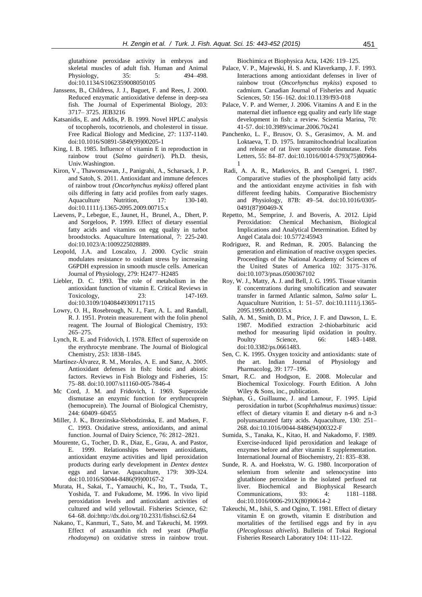glutathione peroxidase activity in embryos and skeletal muscles of adult fish. Human and Animal Physiology, 35: 5: 494–498. doi:10.1134/S1062359008050105

- Janssens, B., Childress, J. J., Baguet, F. and Rees, J. 2000. Reduced enzymatic antioxidative defense in deep-sea fish. The Journal of Experimental Biology, 203: 3717– 3725. JEB3216
- Katsanidis, E. and Addis, P. B. 1999. Novel HPLC analysis of tocopherols, tocotrienols, and cholesterol in tissue. Free Radical Biology and Medicine, 27: 1137-1140. doi:10.1016/S0891-5849(99)00205-1
- King, I. B. 1985. Influence of vitamin E in reproduction in rainbow trout (*Salmo gairdneri*). Ph.D. thesis, Univ.Washington.
- Kiron, V., Thawonsuwan, J., Panigrahi, A., Scharsack, J. P. and Satoh, S. 2011. Antioxidant and immune defences of rainbow trout *(Oncorhynchus mykiss)* offered plant oils differing in fatty acid profiles from early stages. Aquaculture Nutrition, 17: 130-140. doi:10.1111/j.1365-2095.2009.00715.x
- Laevens, P., Lebegue, E., Jaunet, H., Brunel, A., Dhert, P. and Sorgeloos, P. 1999. Effect of dietary essential fatty acids and vitamins on egg quality in turbot broodstocks. Aquaculture International, 7: 225-240. doi:10.1023/A:1009225028889.
- Leopold, J.A. and Loscalzo, J. 2000. Cyclic strain modulates resistance to oxidant stress by increasing G6PDH expression in smooth muscle cells. American Journal of Physiology, 279: H2477–H2485
- Liebler, D. C. 1993. The role of metabolism in the antioxidant function of vitamin E. Critical Reviews in Toxicology, 23: 147-169. doi:10.3109/10408449309117115
- Lowry, O. H., Rosebrough, N. J., Farr, A. L. and Randall, R. J. 1951. Protein measurement with the folin phenol reagent. The Journal of Biological Chemistry, 193: 265–275.
- Lynch, R. E. and Fridovich, I. 1978. Effect of superoxide on the erythrocyte membrane. The Journal of Biological Chemistry, 253: 1838–1845.
- Martínez-Álvarez, R. M., Morales, A. E. and Sanz, A. 2005. Antioxidant defenses in fish: biotic and abiotic factors. Reviews in Fish Biology [and Fisheries,](https://www.google.com.tr/url?sa=t&rct=j&q=&esrc=s&source=web&cd=1&cad=rja&uact=8&ved=0CBwQFjAA&url=http%3A%2F%2Fwww.springer.com%2Flife%2Bsciences%2Fecology%2Fjournal%2F11160&ei=7X7rU5m9H4iH4gSqgoHIBg&usg=AFQjCNGzuIgjM_MM2-2JvH5Myc6hLfPasA&bvm=bv.72938740,d.bGQ) 15: 75–88. doi:10.1007/s11160-005-7846-4
- Mc Cord, J. M. and Fridovich, I. 1969. Superoxide dismutase an enzymic function for erythrocuprein (hemocuprein). The Journal of Biological Chemistry, 244: 60409–60455
- Miller, J. K., Brzezinska-Slebodzinska, E. and Madsen, F. C. 1993. Oxidative stress, antioxidants, and animal function. Journal of Dairy Science, 76: 2812–2821.
- Mourente, G., Tocher, D. R., Diaz, E., Grau, A. and Pastor, E. 1999. Relationships between antioxidants, antioxidant enzyme activities and lipid peroxidation products during early development in *Dentex dentex* eggs and larvae. Aquaculture, 179: 309-324. doi:10.1016/S0044-8486(99)00167-2
- Murata, H., Sakai, T., Yamauchi, K., Ito, T., Tsuda, T., Yoshida, T. and Fukudome, M. 1996. In vivo lipid peroxidation levels and antioxidant activities of cultured and wild yellowtail. Fisheries Science, 62: 64–68. do[i:http://dx.doi.org/10.2331/fishsci.62.64](http://dx.doi.org/10.2331/fishsci.62.64)
- Nakano, T., Kanmuri, T., Sato, M. and Takeuchi, M. 1999. Effect of astaxanthin rich red yeast (*Phaffia rhodozyma*) on oxidative stress in rainbow trout.

Biochimica et Biophysica Acta, 1426: 119–125.

- Palace, V. P., Majewski, H. S. and Klaverkamp, J. F. 1993. Interactions among antioxidant defenses in liver of rainbow trout (*Oncorhynchus mykiss*) exposed to cadmium. Canadian Journal of Fisheries and Aquatic Sciences, 50: 156–162. doi:10.1139/f93-018
- Palace, V. P. and Werner, J. 2006. Vitamins A and E in the maternal diet influence egg quality and early life stage development in fish: a review. Scientia Marina, 70: 41-57. doi:10.3989/scimar.2006.70s241
- Panchenko, L. F., Brusov, O. S., Gerasimov, A. M. and Loktaeva, T. D. 1975. Intramitochondrial localization and release of rat liver superoxide dismutase. Febs Letters, 55: 84–87. [doi:10.1016/0014-5793\(75\)80964-](http://dx.doi.org/10.1016/0014-5793(75)80964-1) [1](http://dx.doi.org/10.1016/0014-5793(75)80964-1)
- Radi, A. A. R., Matkovics, B. and Csengeri, I. 1987. Comparative studies of the phospholipid fatty acids and the antioxidant enzyme activities in fish with different feeding habits. [Comparative Biochemistry](http://www.sciencedirect.com/science/journal/03050491)  [and Physiology,](http://www.sciencedirect.com/science/journal/03050491) 87B: 49–54. doi:10.1016/0305- 0491(87)90469-X
- Repetto, M., Semprine, J. and Boveris, A. 2012. Lipid Peroxidation: Chemical Mechanism, Biological Implications and Analytical Determination. Edited by Angel Catala doi: 10.5772/45943
- Rodriguez, R. and Redman, R. 2005. Balancing the generation and elimination of reactive oxygen species. Proceedings of the National Academy of Sciences of the United States of America 102: 3175–3176. doi:10.1073/pnas.0500367102
- Roy, W. J., Matty, A. J. and Bell, J. G. 1995. Tissue vitamin E concentrations during smoltification and seawater transfer in farmed Atlantic salmon, *Salmo salar* L. Aquaculture Nutrition, 1: 51–57. doi:10.1111/j.1365- 2095.1995.tb00035.x
- Salih, A. M., Smith, D. M., Price, J. F. and Dawson, L. E. 1987. Modified extraction 2-thiobarbituric acid method for measuring lipid oxidation in poultry. Poultry Science, 66: 1483–1488. doi:10.3382/ps.0661483.
- Sen, C. K. 1995. Oxygen toxicity and antioxidants: state of the art. Indian Journal of Physiology and Pharmacolog, 39: 177–196.
- Smart, R.C. and Hodgson, E. 2008. Molecular and Biochemical Toxicology. Fourth Edition. A John Wiley & Sons, inc., publication.
- Stéphan, G., Guillaume, J. and Lamour, F. 1995. Lipid peroxidation in turbot (*Scophthalmus maximu*s) tissue: effect of dietary vitamin E and dietary n-6 and n-3 polyunsaturated fatty acids. Aquaculture, 130: 251– 268. doi:10.1016/0044-8486(94)00322-F
- Sumida, S., Tanaka, K., Kitao, H. and Nakadomo, F. 1989. Exercise-induced lipid peroxidation and leakage of enzymes before and after vitamin E supplementation. International Journal of Biochemistry, 21: 835–838.
- Sunde, R. A. and Hoekstra, W. G. 1980. Incorporation of selenium from selenite and selenocystine into glutathione peroxidase in the isolated perfused rat liver. Biochemical and Biophysical Research Communications, 93: 4: 1181–1188. [doi:10.1016/0006-291X\(80\)90614-2](http://dx.doi.org/10.1016/0006-291X(80)90614-2)
- Takeuchi, M., Ishii, S. and Ogino, T. 1981. Effect of dietary vitamin E on growth, vitamin E distribution and mortalities of the fertilised eggs and fry in ayu (*Plecoglossus altivelis*). Bulletin of Tokai Regional Fisheries Research Laboratory 104: 111-122.